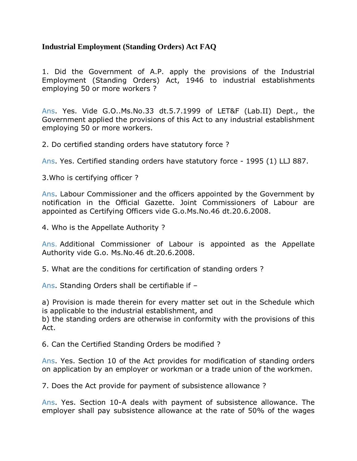## **Industrial Employment (Standing Orders) Act FAQ**

1. Did the Government of A.P. apply the provisions of the Industrial Employment (Standing Orders) Act, 1946 to industrial establishments employing 50 or more workers ?

Ans. Yes. Vide G.O..Ms.No.33 dt.5.7.1999 of LET&F (Lab.II) Dept., the Government applied the provisions of this Act to any industrial establishment employing 50 or more workers.

2. Do certified standing orders have statutory force ?

Ans. Yes. Certified standing orders have statutory force - 1995 (1) LLJ 887.

3.Who is certifying officer ?

Ans. Labour Commissioner and the officers appointed by the Government by notification in the Official Gazette. Joint Commissioners of Labour are appointed as Certifying Officers vide G.o.Ms.No.46 dt.20.6.2008.

4. Who is the Appellate Authority ?

Ans. Additional Commissioner of Labour is appointed as the Appellate Authority vide G.o. Ms.No.46 dt.20.6.2008.

5. What are the conditions for certification of standing orders ?

Ans. Standing Orders shall be certifiable if –

a) Provision is made therein for every matter set out in the Schedule which is applicable to the industrial establishment, and

b) the standing orders are otherwise in conformity with the provisions of this Act.

6. Can the Certified Standing Orders be modified ?

Ans. Yes. Section 10 of the Act provides for modification of standing orders on application by an employer or workman or a trade union of the workmen.

7. Does the Act provide for payment of subsistence allowance ?

Ans. Yes. Section 10-A deals with payment of subsistence allowance. The employer shall pay subsistence allowance at the rate of 50% of the wages